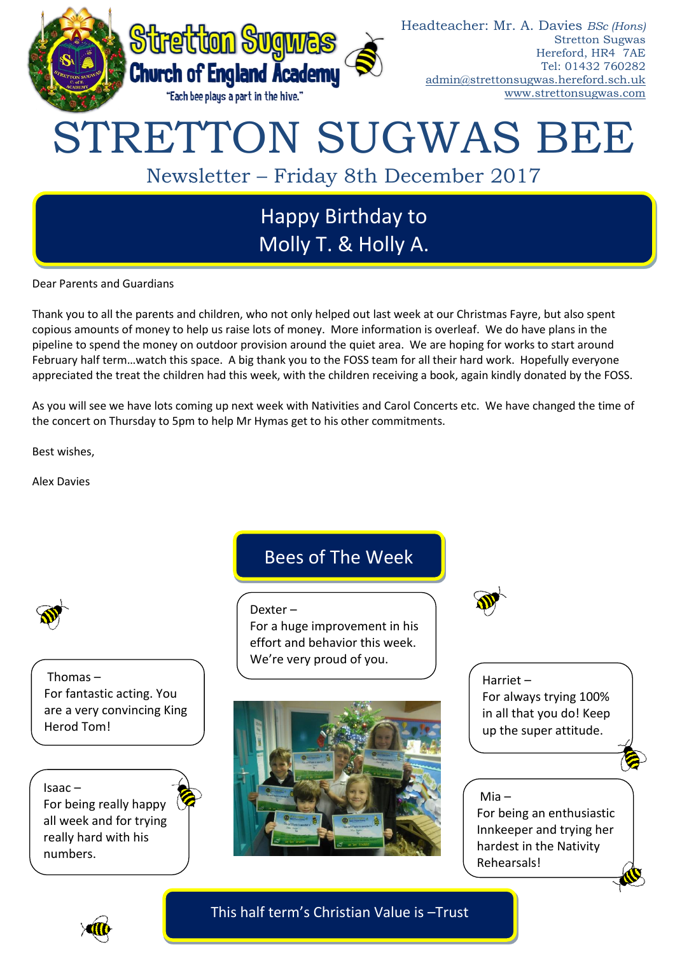

#### Headteacher: Mr. A. Davies *BSc (Hons)* Stretton Sugwas Hereford, HR4 7AE Tel: 01432 760282 [admin@strettonsugwas.hereford.sch.uk](mailto:admin@strettonsugwas.hereford.sch.uk) www.strettonsugwas.com

# STRETTON SUGWAS BEE

Newsletter – Friday 8th December 2017

## Happy Birthday to Molly T. & Holly A.

Dear Parents and Guardians

Thank you to all the parents and children, who not only helped out last week at our Christmas Fayre, but also spent copious amounts of money to help us raise lots of money. More information is overleaf. We do have plans in the pipeline to spend the money on outdoor provision around the quiet area. We are hoping for works to start around February half term…watch this space. A big thank you to the FOSS team for all their hard work. Hopefully everyone appreciated the treat the children had this week, with the children receiving a book, again kindly donated by the FOSS.

As you will see we have lots coming up next week with Nativities and Carol Concerts etc. We have changed the time of the concert on Thursday to 5pm to help Mr Hymas get to his other commitments.

Best wishes,

Alex Davies



Thomas – For fantastic acting. You are a very convincing King Herod Tom!

Isaac – For being really happy all week and for trying really hard with his numbers.

### Bees of The Week

Dexter –

For a huge improvement in his effort and behavior this week. We're very proud of you.





Harriet – For always trying 100% in all that you do! Keep up the super attitude.

# Mia –

For being an enthusiastic Innkeeper and trying her hardest in the Nativity Rehearsals!



This half term's Christian Value is –Trust